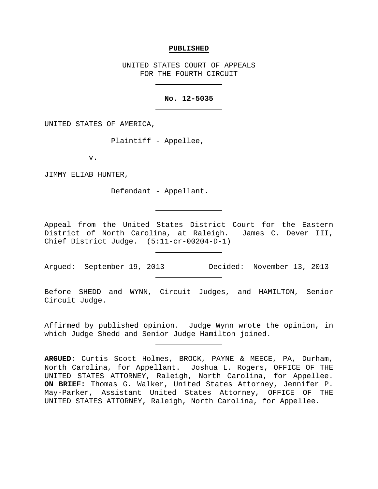#### **PUBLISHED**

UNITED STATES COURT OF APPEALS FOR THE FOURTH CIRCUIT

### **No. 12-5035**

UNITED STATES OF AMERICA,

Plaintiff - Appellee,

v.

JIMMY ELIAB HUNTER,

Defendant - Appellant.

Appeal from the United States District Court for the Eastern District of North Carolina, at Raleigh. James C. Dever III, Chief District Judge. (5:11-cr-00204-D-1)

Argued: September 19, 2013 Decided: November 13, 2013

Before SHEDD and WYNN, Circuit Judges, and HAMILTON, Senior Circuit Judge.

Affirmed by published opinion. Judge Wynn wrote the opinion, in which Judge Shedd and Senior Judge Hamilton joined.

**ARGUED**: Curtis Scott Holmes, BROCK, PAYNE & MEECE, PA, Durham, North Carolina, for Appellant. Joshua L. Rogers, OFFICE OF THE UNITED STATES ATTORNEY, Raleigh, North Carolina, for Appellee. **ON BRIEF:** Thomas G. Walker, United States Attorney, Jennifer P. May-Parker, Assistant United States Attorney, OFFICE OF THE UNITED STATES ATTORNEY, Raleigh, North Carolina, for Appellee.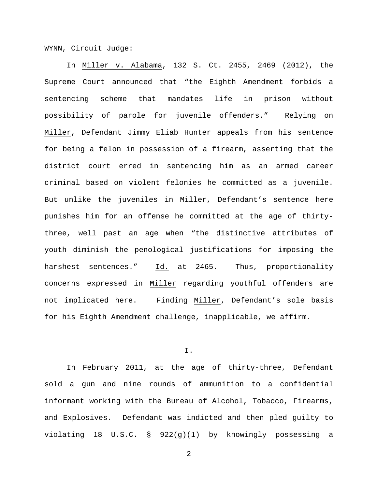WYNN, Circuit Judge:

In Miller v. Alabama, 132 S. Ct. 2455, 2469 (2012), the Supreme Court announced that "the Eighth Amendment forbids a sentencing scheme that mandates life in prison without possibility of parole for juvenile offenders." Relying on Miller, Defendant Jimmy Eliab Hunter appeals from his sentence for being a felon in possession of a firearm, asserting that the district court erred in sentencing him as an armed career criminal based on violent felonies he committed as a juvenile. But unlike the juveniles in Miller, Defendant's sentence here punishes him for an offense he committed at the age of thirtythree, well past an age when "the distinctive attributes of youth diminish the penological justifications for imposing the harshest sentences." Id. at 2465. Thus, proportionality concerns expressed in Miller regarding youthful offenders are not implicated here. Finding Miller, Defendant's sole basis for his Eighth Amendment challenge, inapplicable, we affirm.

## I.

In February 2011, at the age of thirty-three, Defendant sold a gun and nine rounds of ammunition to a confidential informant working with the Bureau of Alcohol, Tobacco, Firearms, and Explosives. Defendant was indicted and then pled guilty to violating 18 U.S.C. § 922(g)(1) by knowingly possessing a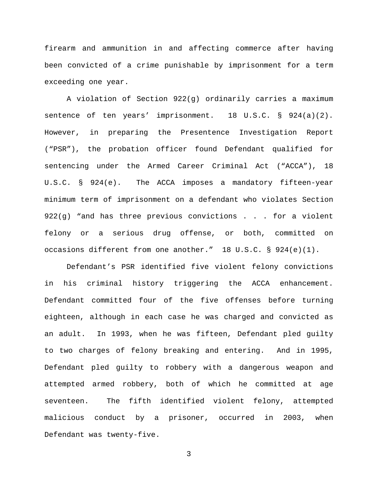firearm and ammunition in and affecting commerce after having been convicted of a crime punishable by imprisonment for a term exceeding one year.

A violation of Section 922(g) ordinarily carries a maximum sentence of ten years' imprisonment. 18 U.S.C. § 924(a)(2). However, in preparing the Presentence Investigation Report ("PSR"), the probation officer found Defendant qualified for sentencing under the Armed Career Criminal Act ("ACCA"), 18 U.S.C. § 924(e). The ACCA imposes a mandatory fifteen-year minimum term of imprisonment on a defendant who violates Section 922(g) "and has three previous convictions . . . for a violent felony or a serious drug offense, or both, committed on occasions different from one another." 18 U.S.C. § 924(e)(1).

Defendant's PSR identified five violent felony convictions in his criminal history triggering the ACCA enhancement. Defendant committed four of the five offenses before turning eighteen, although in each case he was charged and convicted as an adult. In 1993, when he was fifteen, Defendant pled guilty to two charges of felony breaking and entering. And in 1995, Defendant pled guilty to robbery with a dangerous weapon and attempted armed robbery, both of which he committed at age seventeen. The fifth identified violent felony, attempted malicious conduct by a prisoner, occurred in 2003, when Defendant was twenty-five.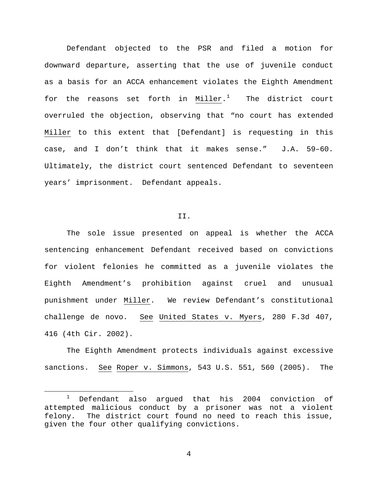Defendant objected to the PSR and filed a motion for downward departure, asserting that the use of juvenile conduct as a basis for an ACCA enhancement violates the Eighth Amendment for the reasons set forth in Miller.<sup>[1](#page-3-0)</sup> The district court overruled the objection, observing that "no court has extended Miller to this extent that [Defendant] is requesting in this case, and I don't think that it makes sense." J.A. 59–60. Ultimately, the district court sentenced Defendant to seventeen years' imprisonment. Defendant appeals.

#### II.

The sole issue presented on appeal is whether the ACCA sentencing enhancement Defendant received based on convictions for violent felonies he committed as a juvenile violates the Eighth Amendment's prohibition against cruel and unusual punishment under Miller. We review Defendant's constitutional challenge de novo. See United States v. Myers, 280 F.3d 407, 416 (4th Cir. 2002).

The Eighth Amendment protects individuals against excessive sanctions. See Roper v. Simmons, 543 U.S. 551, 560 (2005). The

<span id="page-3-0"></span> <sup>1</sup> Defendant also argued that his 2004 conviction of attempted malicious conduct by a prisoner was not a violent felony. The district court found no need to reach this issue, given the four other qualifying convictions.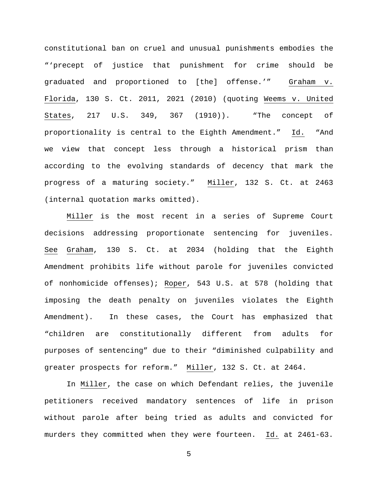constitutional ban on cruel and unusual punishments embodies the "'precept of justice that punishment for crime should be graduated and proportioned to [the] offense.'" Graham v. Florida, 130 S. Ct. 2011, 2021 (2010) (quoting Weems v. United States, 217 U.S. 349, 367 (1910)). "The concept of proportionality is central to the Eighth Amendment." Id. "And we view that concept less through a historical prism than according to the evolving standards of decency that mark the progress of a maturing society." Miller, 132 S. Ct. at 2463 (internal quotation marks omitted).

Miller is the most recent in a series of Supreme Court decisions addressing proportionate sentencing for juveniles. See Graham, 130 S. Ct. at 2034 (holding that the Eighth Amendment prohibits life without parole for juveniles convicted of nonhomicide offenses); Roper, 543 U.S. at 578 (holding that imposing the death penalty on juveniles violates the Eighth Amendment). In these cases, the Court has emphasized that "children are constitutionally different from adults for purposes of sentencing" due to their "diminished culpability and greater prospects for reform." Miller, 132 S. Ct. at 2464.

In Miller, the case on which Defendant relies, the juvenile petitioners received mandatory sentences of life in prison without parole after being tried as adults and convicted for murders they committed when they were fourteen. Id. at 2461-63.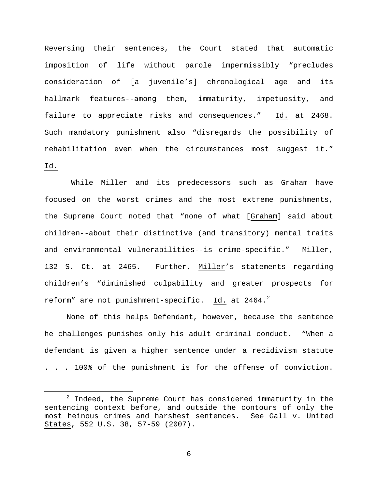Reversing their sentences, the Court stated that automatic imposition of life without parole impermissibly "precludes consideration of [a juvenile's] chronological age and its hallmark features--among them, immaturity, impetuosity, and failure to appreciate risks and consequences." Id. at 2468. Such mandatory punishment also "disregards the possibility of rehabilitation even when the circumstances most suggest it." Id.

While Miller and its predecessors such as Graham have focused on the worst crimes and the most extreme punishments, the Supreme Court noted that "none of what [Graham] said about children--about their distinctive (and transitory) mental traits and environmental vulnerabilities--is crime-specific." Miller, 132 S. Ct. at 2465. Further, Miller's statements regarding children's "diminished culpability and greater prospects for reform" are not punishment-specific.  $\underline{\text{Id.}}$  at [2](#page-5-0)464. $^2$ 

None of this helps Defendant, however, because the sentence he challenges punishes only his adult criminal conduct. "When a defendant is given a higher sentence under a recidivism statute . . . 100% of the punishment is for the offense of conviction.

<span id="page-5-0"></span> $2$  Indeed, the Supreme Court has considered immaturity in the sentencing context before, and outside the contours of only the most heinous crimes and harshest sentences. See Gall v. United States, 552 U.S. 38, 57-59 (2007).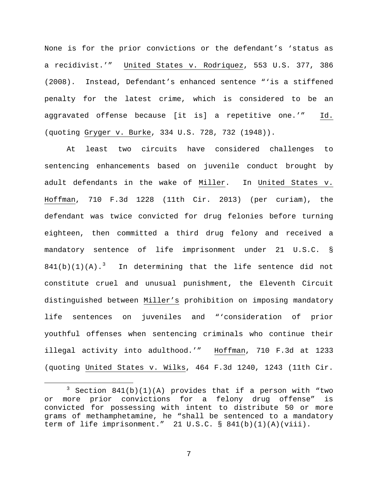None is for the prior convictions or the defendant's 'status as a recidivist.'" United States v. Rodriquez, 553 U.S. 377, 386 (2008). Instead, Defendant's enhanced sentence "'is a stiffened penalty for the latest crime, which is considered to be an aggravated offense because [it is] a repetitive one.'" Id. (quoting Gryger v. Burke, 334 U.S. 728, 732 (1948)).

At least two circuits have considered challenges to sentencing enhancements based on juvenile conduct brought by adult defendants in the wake of Miller. In United States v. Hoffman, 710 F.3d 1228 (11th Cir. 2013) (per curiam), the defendant was twice convicted for drug felonies before turning eighteen, then committed a third drug felony and received a mandatory sentence of life imprisonment under 21 U.S.C. §  $841(b)(1)(A).$ <sup>[3](#page-6-0)</sup> In determining that the life sentence did not constitute cruel and unusual punishment, the Eleventh Circuit distinguished between Miller's prohibition on imposing mandatory life sentences on juveniles and "'consideration of prior youthful offenses when sentencing criminals who continue their illegal activity into adulthood.'" Hoffman, 710 F.3d at 1233 (quoting United States v. Wilks, 464 F.3d 1240, 1243 (11th Cir.

<span id="page-6-0"></span> $3$  Section 841(b)(1)(A) provides that if a person with "two or more prior convictions for a felony drug offense" is convicted for possessing with intent to distribute 50 or more grams of methamphetamine, he "shall be sentenced to a mandatory term of life imprisonment." 21 U.S.C. § 841(b)(1)(A)(viii).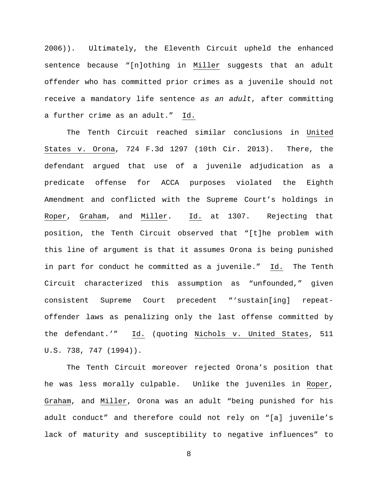2006)). Ultimately, the Eleventh Circuit upheld the enhanced sentence because "[n]othing in Miller suggests that an adult offender who has committed prior crimes as a juvenile should not receive a mandatory life sentence *as an adult*, after committing a further crime as an adult." Id.

The Tenth Circuit reached similar conclusions in United States v. Orona, 724 F.3d 1297 (10th Cir. 2013). There, the defendant argued that use of a juvenile adjudication as a predicate offense for ACCA purposes violated the Eighth Amendment and conflicted with the Supreme Court's holdings in Roper, Graham, and Miller. Id. at 1307. Rejecting that position, the Tenth Circuit observed that "[t]he problem with this line of argument is that it assumes Orona is being punished in part for conduct he committed as a juvenile." Id. The Tenth Circuit characterized this assumption as "unfounded," given consistent Supreme Court precedent "'sustain[ing] repeatoffender laws as penalizing only the last offense committed by the defendant.'" Id. (quoting Nichols v. United States, 511 U.S. 738, 747 (1994)).

The Tenth Circuit moreover rejected Orona's position that he was less morally culpable. Unlike the juveniles in Roper, Graham, and Miller, Orona was an adult "being punished for his adult conduct" and therefore could not rely on "[a] juvenile's lack of maturity and susceptibility to negative influences" to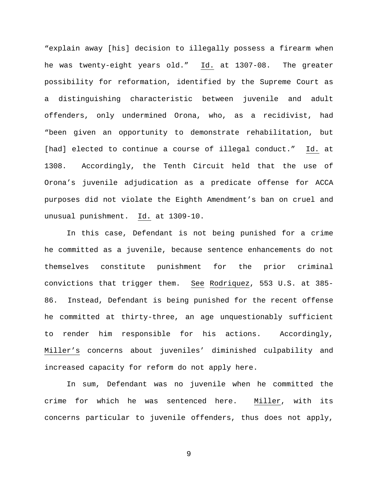"explain away [his] decision to illegally possess a firearm when he was twenty-eight years old." Id. at 1307-08. The greater possibility for reformation, identified by the Supreme Court as a distinguishing characteristic between juvenile and adult offenders, only undermined Orona, who, as a recidivist, had "been given an opportunity to demonstrate rehabilitation, but [had] elected to continue a course of illegal conduct." Id. at 1308. Accordingly, the Tenth Circuit held that the use of Orona's juvenile adjudication as a predicate offense for ACCA purposes did not violate the Eighth Amendment's ban on cruel and unusual punishment. Id. at 1309-10.

In this case, Defendant is not being punished for a crime he committed as a juvenile, because sentence enhancements do not themselves constitute punishment for the prior criminal convictions that trigger them. See Rodriquez, 553 U.S. at 385- 86. Instead, Defendant is being punished for the recent offense he committed at thirty-three, an age unquestionably sufficient to render him responsible for his actions. Accordingly, Miller's concerns about juveniles' diminished culpability and increased capacity for reform do not apply here.

In sum, Defendant was no juvenile when he committed the crime for which he was sentenced here. Miller, with its concerns particular to juvenile offenders, thus does not apply,